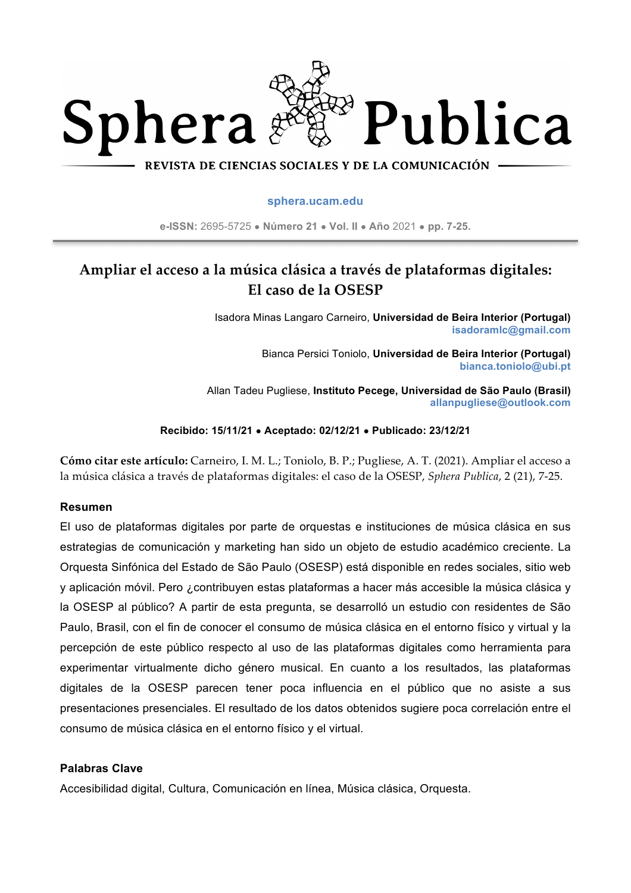

#### REVISTA DE CIENCIAS SOCIALES Y DE LA COMUNICACIÓN

#### **sphera.ucam.edu**

**e-ISSN:** 2695-5725 ● **Número 21** ● **Vol. II** ● **Año** 2021 ● **pp. 7-25.**

# **Ampliar el acceso a la música clásica a través de plataformas digitales: El caso de la OSESP**

Isadora Minas Langaro Carneiro, **Universidad de Beira Interior (Portugal) isadoramlc@gmail.com**

> Bianca Persici Toniolo, **Universidad de Beira Interior (Portugal) bianca.toniolo@ubi.pt**

Allan Tadeu Pugliese, **Instituto Pecege, Universidad de São Paulo (Brasil) allanpugliese@outlook.com**

#### **Recibido: 15/11/21** ● **Aceptado: 02/12/21** ● **Publicado: 23/12/21**

**Cómo citar este artículo:** Carneiro, I. M. L.; Toniolo, B. P.; Pugliese, A. T. (2021). Ampliar el acceso a la música clásica a través de plataformas digitales: el caso de la OSESP, *Sphera Publica*, 2 (21), 7-25.

#### **Resumen**

El uso de plataformas digitales por parte de orquestas e instituciones de música clásica en sus estrategias de comunicación y marketing han sido un objeto de estudio académico creciente. La Orquesta Sinfónica del Estado de São Paulo (OSESP) está disponible en redes sociales, sitio web y aplicación móvil. Pero ¿contribuyen estas plataformas a hacer más accesible la música clásica y la OSESP al público? A partir de esta pregunta, se desarrolló un estudio con residentes de São Paulo, Brasil, con el fin de conocer el consumo de música clásica en el entorno físico y virtual y la percepción de este público respecto al uso de las plataformas digitales como herramienta para experimentar virtualmente dicho género musical. En cuanto a los resultados, las plataformas digitales de la OSESP parecen tener poca influencia en el público que no asiste a sus presentaciones presenciales. El resultado de los datos obtenidos sugiere poca correlación entre el consumo de música clásica en el entorno físico y el virtual.

#### **Palabras Clave**

Accesibilidad digital, Cultura, Comunicación en línea, Música clásica, Orquesta.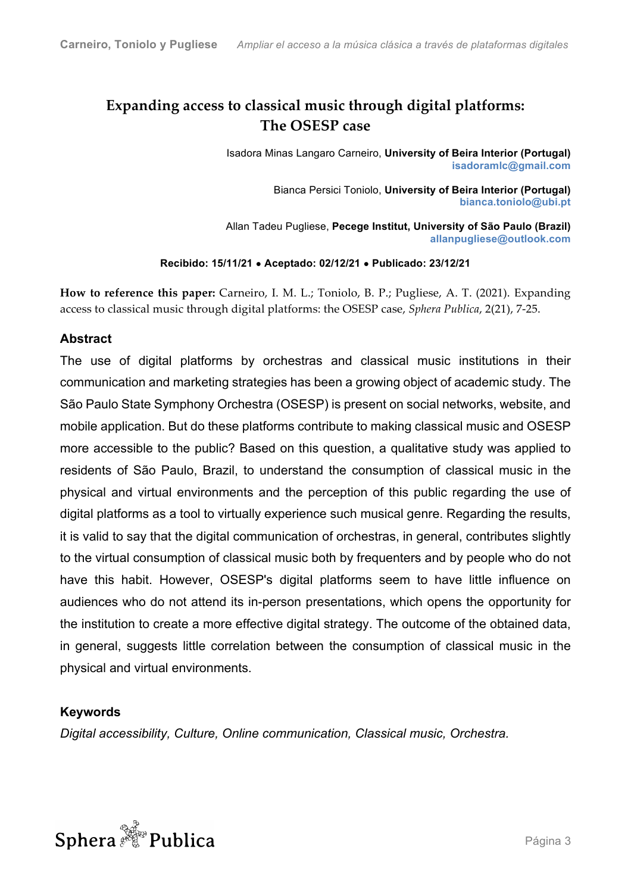# **Expanding access to classical music through digital platforms: The OSESP case**

Isadora Minas Langaro Carneiro, **University of Beira Interior (Portugal) isadoramlc@gmail.com**

> Bianca Persici Toniolo, **University of Beira Interior (Portugal) bianca.toniolo@ubi.pt**

Allan Tadeu Pugliese, **Pecege Institut, University of São Paulo (Brazil) allanpugliese@outlook.com**

**Recibido: 15/11/21** ● **Aceptado: 02/12/21** ● **Publicado: 23/12/21**

**How to reference this paper:** Carneiro, I. M. L.; Toniolo, B. P.; Pugliese, A. T. (2021). Expanding access to classical music through digital platforms: the OSESP case, *Sphera Publica*, 2(21), 7-25.

# **Abstract**

The use of digital platforms by orchestras and classical music institutions in their communication and marketing strategies has been a growing object of academic study. The São Paulo State Symphony Orchestra (OSESP) is present on social networks, website, and mobile application. But do these platforms contribute to making classical music and OSESP more accessible to the public? Based on this question, a qualitative study was applied to residents of São Paulo, Brazil, to understand the consumption of classical music in the physical and virtual environments and the perception of this public regarding the use of digital platforms as a tool to virtually experience such musical genre. Regarding the results, it is valid to say that the digital communication of orchestras, in general, contributes slightly to the virtual consumption of classical music both by frequenters and by people who do not have this habit. However, OSESP's digital platforms seem to have little influence on audiences who do not attend its in-person presentations, which opens the opportunity for the institution to create a more effective digital strategy. The outcome of the obtained data, in general, suggests little correlation between the consumption of classical music in the physical and virtual environments.

## **Keywords**

*Digital accessibility, Culture, Online communication, Classical music, Orchestra.*

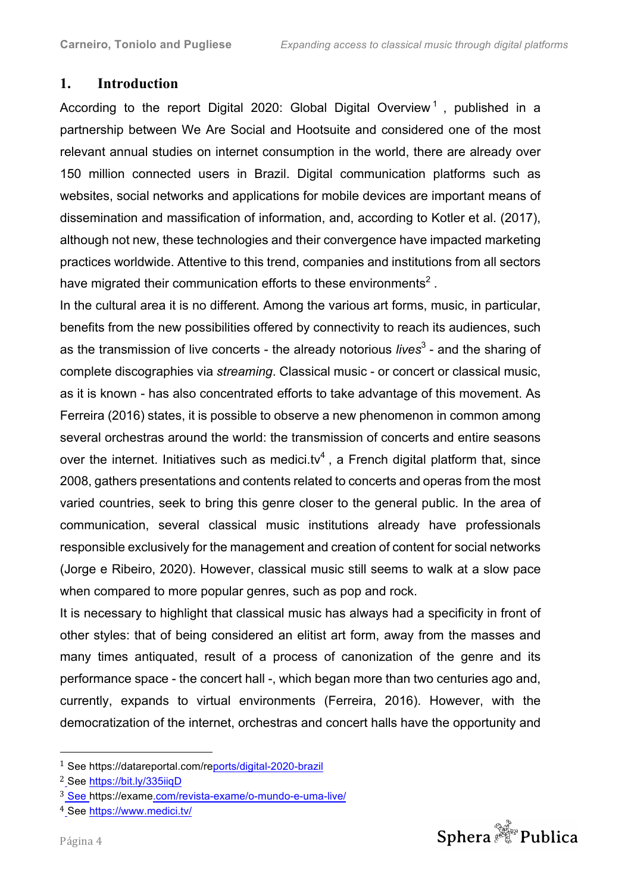# **1. Introduction**

According to the report Digital 2020: Global Digital Overview<sup>1</sup>, published in a partnership between We Are Social and Hootsuite and considered one of the most relevant annual studies on internet consumption in the world, there are already over 150 million connected users in Brazil. Digital communication platforms such as websites, social networks and applications for mobile devices are important means of dissemination and massification of information, and, according to Kotler et al. (2017), although not new, these technologies and their convergence have impacted marketing practices worldwide. Attentive to this trend, companies and institutions from all sectors have migrated their communication efforts to these environments<sup>2</sup>.

In the cultural area it is no different. Among the various art forms, music, in particular, benefits from the new possibilities offered by connectivity to reach its audiences, such as the transmission of live concerts - the already notorious *lives*<sup>3</sup> - and the sharing of complete discographies via *streaming*. Classical music - or concert or classical music, as it is known - has also concentrated efforts to take advantage of this movement. As Ferreira (2016) states, it is possible to observe a new phenomenon in common among several orchestras around the world: the transmission of concerts and entire seasons over the internet. Initiatives such as medici.tv<sup>4</sup>, a French digital platform that, since 2008, gathers presentations and contents related to concerts and operas from the most varied countries, seek to bring this genre closer to the general public. In the area of communication, several classical music institutions already have professionals responsible exclusively for the management and creation of content for social networks (Jorge e Ribeiro, 2020). However, classical music still seems to walk at a slow pace when compared to more popular genres, such as pop and rock.

It is necessary to highlight that classical music has always had a specificity in front of other styles: that of being considered an elitist art form, away from the masses and many times antiquated, result of a process of canonization of the genre and its performance space - the concert hall -, which began more than two centuries ago and, currently, expands to virtual environments (Ferreira, 2016). However, with the democratization of the internet, orchestras and concert halls have the opportunity and

 



<sup>1</sup> See https://datareportal.com/reports/digital-2020-brazil

<sup>2</sup> See https://bit.ly/335iiqD

<sup>3</sup> See https://exame.com/revista-exame/o-mundo-e-uma-live/

<sup>4</sup> See https://www.medici.tv/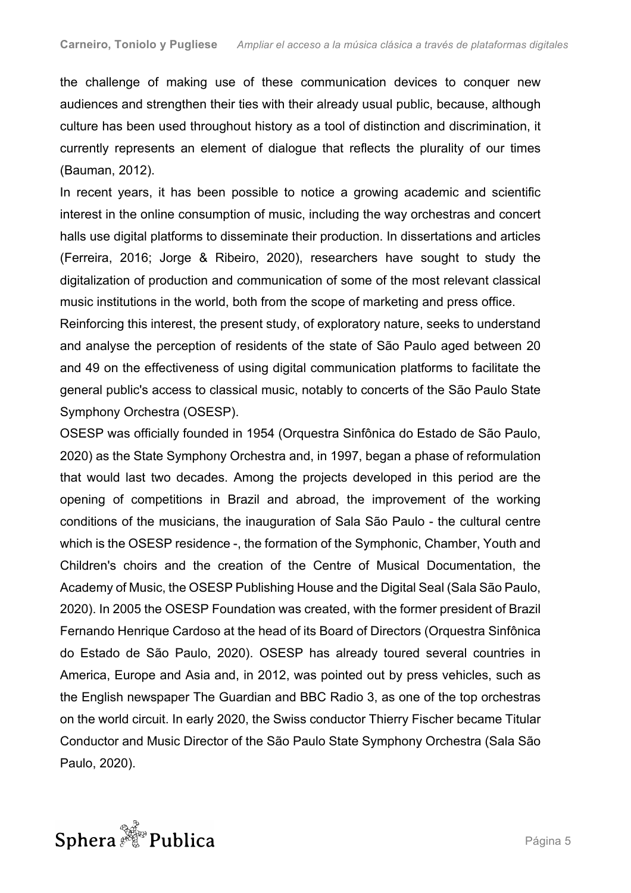the challenge of making use of these communication devices to conquer new audiences and strengthen their ties with their already usual public, because, although culture has been used throughout history as a tool of distinction and discrimination, it currently represents an element of dialogue that reflects the plurality of our times (Bauman, 2012).

In recent years, it has been possible to notice a growing academic and scientific interest in the online consumption of music, including the way orchestras and concert halls use digital platforms to disseminate their production. In dissertations and articles (Ferreira, 2016; Jorge & Ribeiro, 2020), researchers have sought to study the digitalization of production and communication of some of the most relevant classical music institutions in the world, both from the scope of marketing and press office.

Reinforcing this interest, the present study, of exploratory nature, seeks to understand and analyse the perception of residents of the state of São Paulo aged between 20 and 49 on the effectiveness of using digital communication platforms to facilitate the general public's access to classical music, notably to concerts of the São Paulo State Symphony Orchestra (OSESP).

OSESP was officially founded in 1954 (Orquestra Sinfônica do Estado de São Paulo, 2020) as the State Symphony Orchestra and, in 1997, began a phase of reformulation that would last two decades. Among the projects developed in this period are the opening of competitions in Brazil and abroad, the improvement of the working conditions of the musicians, the inauguration of Sala São Paulo - the cultural centre which is the OSESP residence -, the formation of the Symphonic, Chamber, Youth and Children's choirs and the creation of the Centre of Musical Documentation, the Academy of Music, the OSESP Publishing House and the Digital Seal (Sala São Paulo, 2020). In 2005 the OSESP Foundation was created, with the former president of Brazil Fernando Henrique Cardoso at the head of its Board of Directors (Orquestra Sinfônica do Estado de São Paulo, 2020). OSESP has already toured several countries in America, Europe and Asia and, in 2012, was pointed out by press vehicles, such as the English newspaper The Guardian and BBC Radio 3, as one of the top orchestras on the world circuit. In early 2020, the Swiss conductor Thierry Fischer became Titular Conductor and Music Director of the São Paulo State Symphony Orchestra (Sala São Paulo, 2020).

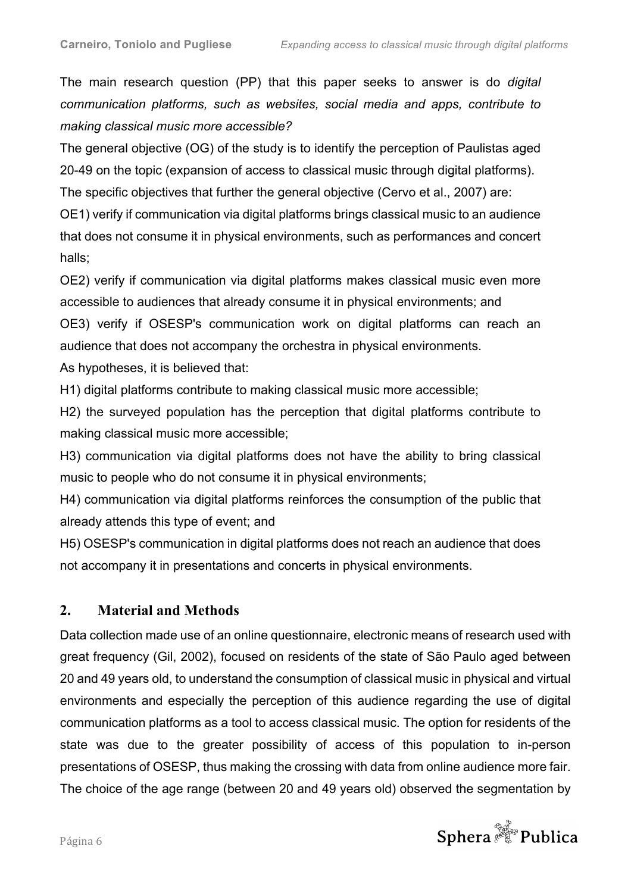The main research question (PP) that this paper seeks to answer is do *digital communication platforms, such as websites, social media and apps, contribute to making classical music more accessible?* 

The general objective (OG) of the study is to identify the perception of Paulistas aged 20-49 on the topic (expansion of access to classical music through digital platforms). The specific objectives that further the general objective (Cervo et al., 2007) are:

OE1) verify if communication via digital platforms brings classical music to an audience that does not consume it in physical environments, such as performances and concert halls;

OE2) verify if communication via digital platforms makes classical music even more accessible to audiences that already consume it in physical environments; and OE3) verify if OSESP's communication work on digital platforms can reach an audience that does not accompany the orchestra in physical environments. As hypotheses, it is believed that:

H1) digital platforms contribute to making classical music more accessible;

H2) the surveyed population has the perception that digital platforms contribute to making classical music more accessible;

H3) communication via digital platforms does not have the ability to bring classical music to people who do not consume it in physical environments;

H4) communication via digital platforms reinforces the consumption of the public that already attends this type of event; and

H5) OSESP's communication in digital platforms does not reach an audience that does not accompany it in presentations and concerts in physical environments.

# **2. Material and Methods**

Data collection made use of an online questionnaire, electronic means of research used with great frequency (Gil, 2002), focused on residents of the state of São Paulo aged between 20 and 49 years old, to understand the consumption of classical music in physical and virtual environments and especially the perception of this audience regarding the use of digital communication platforms as a tool to access classical music. The option for residents of the state was due to the greater possibility of access of this population to in-person presentations of OSESP, thus making the crossing with data from online audience more fair. The choice of the age range (between 20 and 49 years old) observed the segmentation by

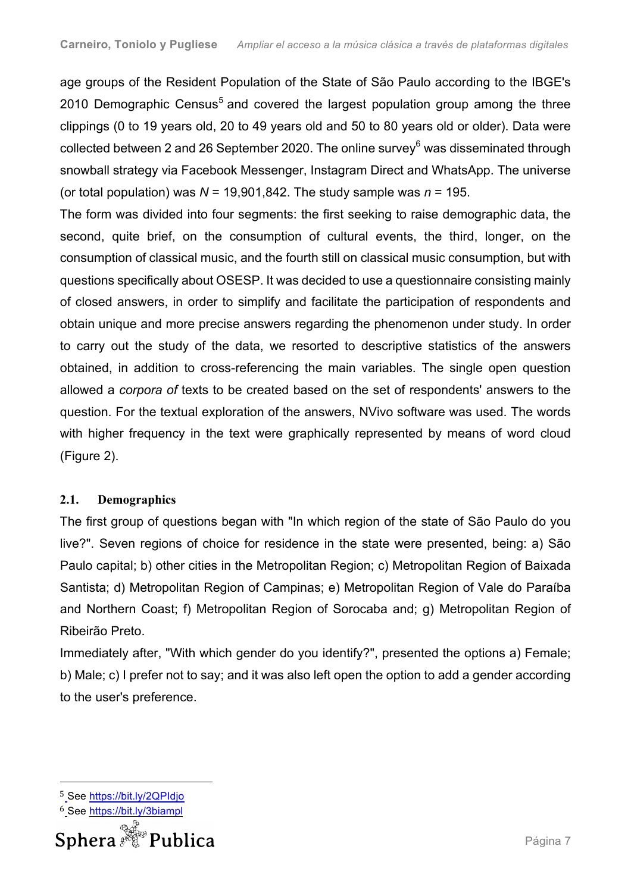age groups of the Resident Population of the State of São Paulo according to the IBGE's 2010 Demographic Census<sup>5</sup> and covered the largest population group among the three clippings (0 to 19 years old, 20 to 49 years old and 50 to 80 years old or older). Data were collected between 2 and 26 September 2020. The online survey<sup>6</sup> was disseminated through snowball strategy via Facebook Messenger, Instagram Direct and WhatsApp. The universe (or total population) was  $N = 19,901,842$ . The study sample was  $n = 195$ .

The form was divided into four segments: the first seeking to raise demographic data, the second, quite brief, on the consumption of cultural events, the third, longer, on the consumption of classical music, and the fourth still on classical music consumption, but with questions specifically about OSESP. It was decided to use a questionnaire consisting mainly of closed answers, in order to simplify and facilitate the participation of respondents and obtain unique and more precise answers regarding the phenomenon under study. In order to carry out the study of the data, we resorted to descriptive statistics of the answers obtained, in addition to cross-referencing the main variables. The single open question allowed a *corpora of* texts to be created based on the set of respondents' answers to the question. For the textual exploration of the answers, NVivo software was used. The words with higher frequency in the text were graphically represented by means of word cloud (Figure 2).

# **2.1. Demographics**

The first group of questions began with "In which region of the state of São Paulo do you live?". Seven regions of choice for residence in the state were presented, being: a) São Paulo capital; b) other cities in the Metropolitan Region; c) Metropolitan Region of Baixada Santista; d) Metropolitan Region of Campinas; e) Metropolitan Region of Vale do Paraíba and Northern Coast; f) Metropolitan Region of Sorocaba and; g) Metropolitan Region of Ribeirão Preto.

Immediately after, "With which gender do you identify?", presented the options a) Female; b) Male; c) I prefer not to say; and it was also left open the option to add a gender according to the user's preference.

<sup>6</sup> See https://bit.ly/3biampl



 

<sup>5</sup> See https://bit.ly/2QPIdjo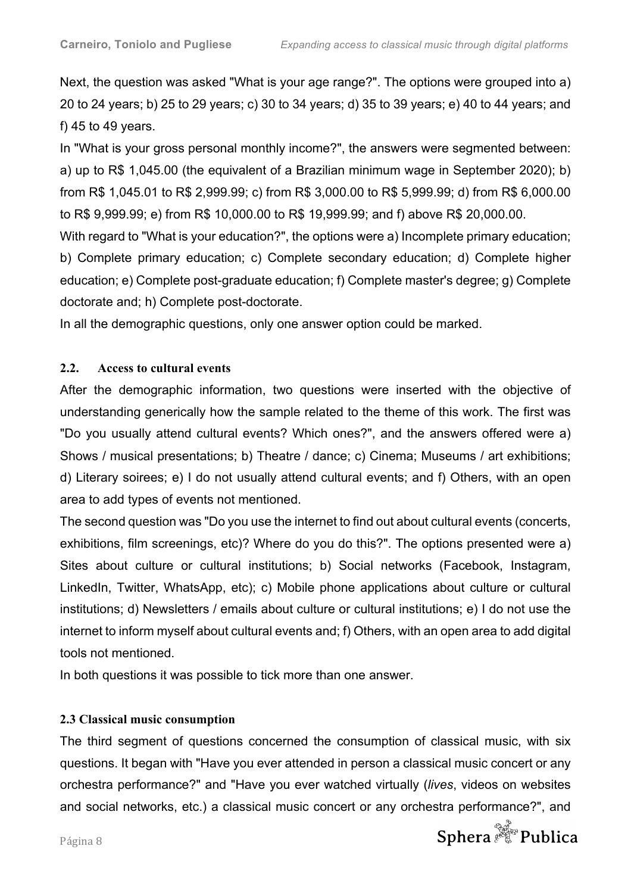Next, the question was asked "What is your age range?". The options were grouped into a) 20 to 24 years; b) 25 to 29 years; c) 30 to 34 years; d) 35 to 39 years; e) 40 to 44 years; and f) 45 to 49 years.

In "What is your gross personal monthly income?", the answers were segmented between: a) up to R\$ 1,045.00 (the equivalent of a Brazilian minimum wage in September 2020); b) from R\$ 1,045.01 to R\$ 2,999.99; c) from R\$ 3,000.00 to R\$ 5,999.99; d) from R\$ 6,000.00 to R\$ 9,999.99; e) from R\$ 10,000.00 to R\$ 19,999.99; and f) above R\$ 20,000.00.

With regard to "What is your education?", the options were a) Incomplete primary education; b) Complete primary education; c) Complete secondary education; d) Complete higher education; e) Complete post-graduate education; f) Complete master's degree; g) Complete doctorate and; h) Complete post-doctorate.

In all the demographic questions, only one answer option could be marked.

## **2.2. Access to cultural events**

After the demographic information, two questions were inserted with the objective of understanding generically how the sample related to the theme of this work. The first was "Do you usually attend cultural events? Which ones?", and the answers offered were a) Shows / musical presentations; b) Theatre / dance; c) Cinema; Museums / art exhibitions; d) Literary soirees; e) I do not usually attend cultural events; and f) Others, with an open area to add types of events not mentioned.

The second question was "Do you use the internet to find out about cultural events (concerts, exhibitions, film screenings, etc)? Where do you do this?". The options presented were a) Sites about culture or cultural institutions; b) Social networks (Facebook, Instagram, LinkedIn, Twitter, WhatsApp, etc); c) Mobile phone applications about culture or cultural institutions; d) Newsletters / emails about culture or cultural institutions; e) I do not use the internet to inform myself about cultural events and; f) Others, with an open area to add digital tools not mentioned.

In both questions it was possible to tick more than one answer.

# **2.3 Classical music consumption**

The third segment of questions concerned the consumption of classical music, with six questions. It began with "Have you ever attended in person a classical music concert or any orchestra performance?" and "Have you ever watched virtually (*lives*, videos on websites and social networks, etc.) a classical music concert or any orchestra performance?", and

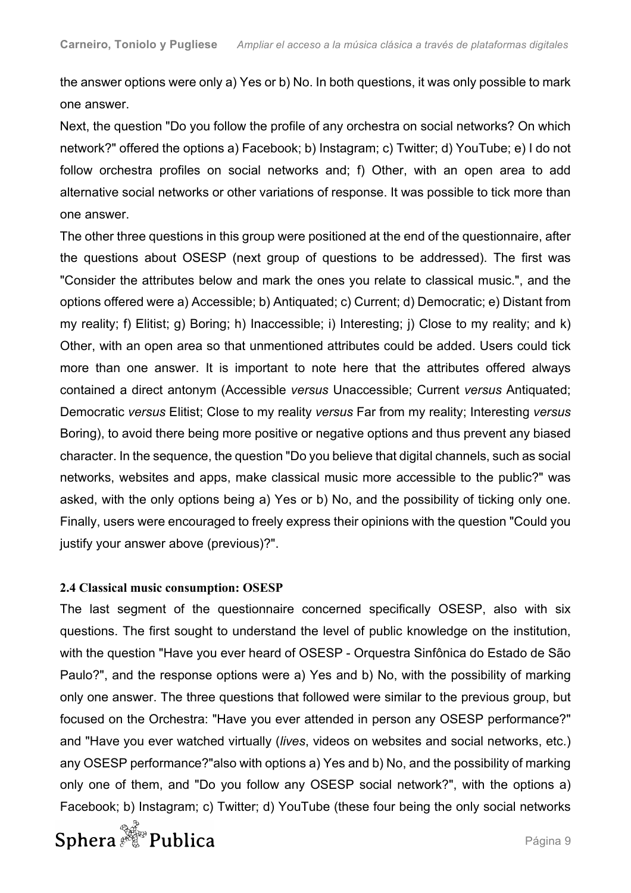the answer options were only a) Yes or b) No. In both questions, it was only possible to mark one answer.

Next, the question "Do you follow the profile of any orchestra on social networks? On which network?" offered the options a) Facebook; b) Instagram; c) Twitter; d) YouTube; e) I do not follow orchestra profiles on social networks and; f) Other, with an open area to add alternative social networks or other variations of response. It was possible to tick more than one answer.

The other three questions in this group were positioned at the end of the questionnaire, after the questions about OSESP (next group of questions to be addressed). The first was "Consider the attributes below and mark the ones you relate to classical music.", and the options offered were a) Accessible; b) Antiquated; c) Current; d) Democratic; e) Distant from my reality; f) Elitist; g) Boring; h) Inaccessible; i) Interesting; j) Close to my reality; and k) Other, with an open area so that unmentioned attributes could be added. Users could tick more than one answer. It is important to note here that the attributes offered always contained a direct antonym (Accessible *versus* Unaccessible; Current *versus* Antiquated; Democratic *versus* Elitist; Close to my reality *versus* Far from my reality; Interesting *versus*  Boring), to avoid there being more positive or negative options and thus prevent any biased character. In the sequence, the question "Do you believe that digital channels, such as social networks, websites and apps, make classical music more accessible to the public?" was asked, with the only options being a) Yes or b) No, and the possibility of ticking only one. Finally, users were encouraged to freely express their opinions with the question "Could you justify your answer above (previous)?".

## **2.4 Classical music consumption: OSESP**

The last segment of the questionnaire concerned specifically OSESP, also with six questions. The first sought to understand the level of public knowledge on the institution, with the question "Have you ever heard of OSESP - Orquestra Sinfônica do Estado de São Paulo?", and the response options were a) Yes and b) No, with the possibility of marking only one answer. The three questions that followed were similar to the previous group, but focused on the Orchestra: "Have you ever attended in person any OSESP performance?" and "Have you ever watched virtually (*lives*, videos on websites and social networks, etc.) any OSESP performance?"also with options a) Yes and b) No, and the possibility of marking only one of them, and "Do you follow any OSESP social network?", with the options a) Facebook; b) Instagram; c) Twitter; d) YouTube (these four being the only social networks

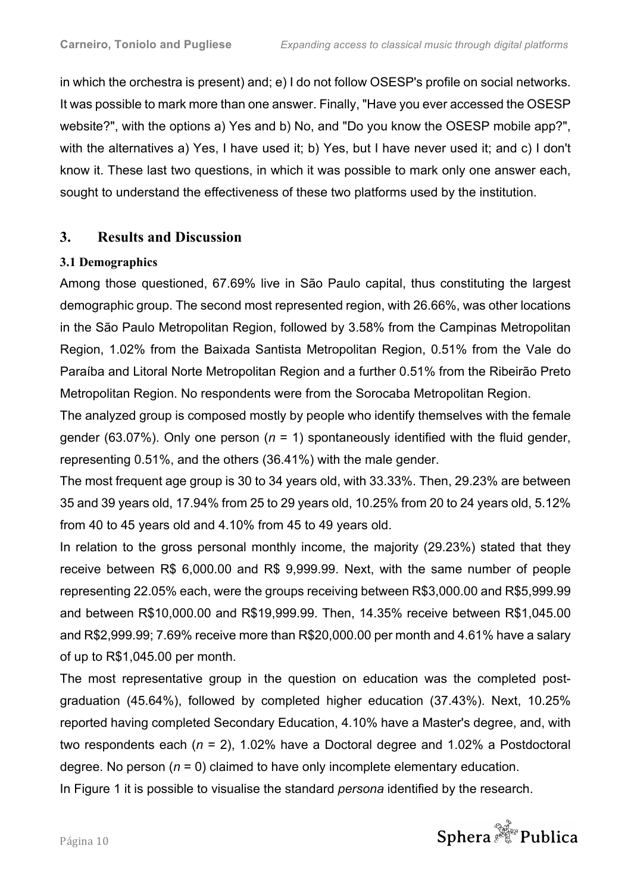in which the orchestra is present) and; e) I do not follow OSESP's profile on social networks. It was possible to mark more than one answer. Finally, "Have you ever accessed the OSESP website?", with the options a) Yes and b) No, and "Do you know the OSESP mobile app?", with the alternatives a) Yes, I have used it; b) Yes, but I have never used it; and c) I don't know it. These last two questions, in which it was possible to mark only one answer each, sought to understand the effectiveness of these two platforms used by the institution.

# **3. Results and Discussion**

# **3.1 Demographics**

Among those questioned, 67.69% live in São Paulo capital, thus constituting the largest demographic group. The second most represented region, with 26.66%, was other locations in the São Paulo Metropolitan Region, followed by 3.58% from the Campinas Metropolitan Region, 1.02% from the Baixada Santista Metropolitan Region, 0.51% from the Vale do Paraíba and Litoral Norte Metropolitan Region and a further 0.51% from the Ribeirão Preto Metropolitan Region. No respondents were from the Sorocaba Metropolitan Region.

The analyzed group is composed mostly by people who identify themselves with the female gender (63.07%). Only one person (*n* = 1) spontaneously identified with the fluid gender, representing 0.51%, and the others (36.41%) with the male gender.

The most frequent age group is 30 to 34 years old, with 33.33%. Then, 29.23% are between 35 and 39 years old, 17.94% from 25 to 29 years old, 10.25% from 20 to 24 years old, 5.12% from 40 to 45 years old and 4.10% from 45 to 49 years old.

In relation to the gross personal monthly income, the majority (29.23%) stated that they receive between R\$ 6,000.00 and R\$ 9,999.99. Next, with the same number of people representing 22.05% each, were the groups receiving between R\$3,000.00 and R\$5,999.99 and between R\$10,000.00 and R\$19,999.99. Then, 14.35% receive between R\$1,045.00 and R\$2,999.99; 7.69% receive more than R\$20,000.00 per month and 4.61% have a salary of up to R\$1,045.00 per month.

The most representative group in the question on education was the completed postgraduation (45.64%), followed by completed higher education (37.43%). Next, 10.25% reported having completed Secondary Education, 4.10% have a Master's degree, and, with two respondents each (*n* = 2), 1.02% have a Doctoral degree and 1.02% a Postdoctoral degree. No person  $(n = 0)$  claimed to have only incomplete elementary education.

In Figure 1 it is possible to visualise the standard *persona* identified by the research.

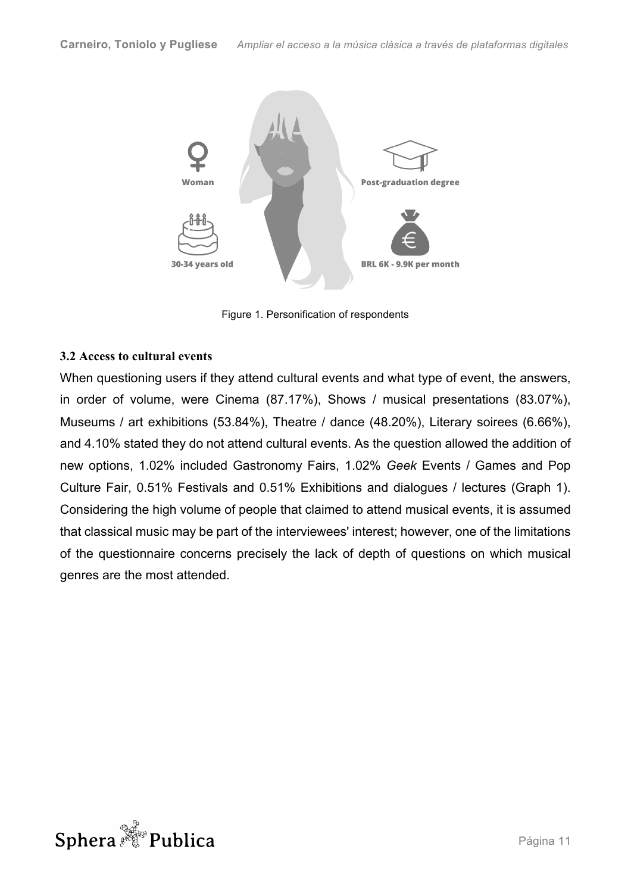

Figure 1. Personification of respondents

## **3.2 Access to cultural events**

When questioning users if they attend cultural events and what type of event, the answers, in order of volume, were Cinema (87.17%), Shows / musical presentations (83.07%), Museums / art exhibitions (53.84%), Theatre / dance (48.20%), Literary soirees (6.66%), and 4.10% stated they do not attend cultural events. As the question allowed the addition of new options, 1.02% included Gastronomy Fairs, 1.02% *Geek* Events / Games and Pop Culture Fair, 0.51% Festivals and 0.51% Exhibitions and dialogues / lectures (Graph 1). Considering the high volume of people that claimed to attend musical events, it is assumed that classical music may be part of the interviewees' interest; however, one of the limitations of the questionnaire concerns precisely the lack of depth of questions on which musical genres are the most attended.

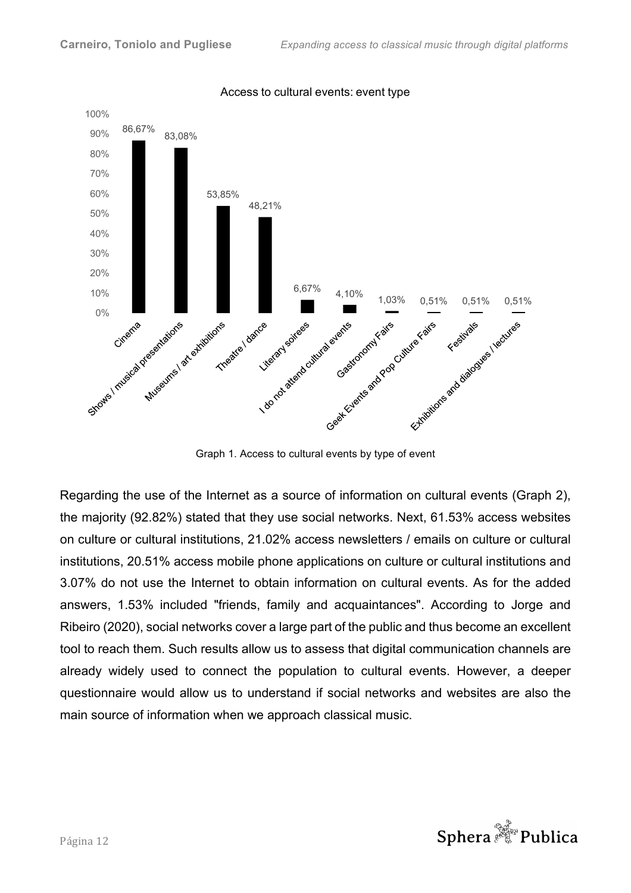

Access to cultural events: event type

Graph 1. Access to cultural events by type of event

Regarding the use of the Internet as a source of information on cultural events (Graph 2), the majority (92.82%) stated that they use social networks. Next, 61.53% access websites on culture or cultural institutions, 21.02% access newsletters / emails on culture or cultural institutions, 20.51% access mobile phone applications on culture or cultural institutions and 3.07% do not use the Internet to obtain information on cultural events. As for the added answers, 1.53% included "friends, family and acquaintances". According to Jorge and Ribeiro (2020), social networks cover a large part of the public and thus become an excellent tool to reach them. Such results allow us to assess that digital communication channels are already widely used to connect the population to cultural events. However, a deeper questionnaire would allow us to understand if social networks and websites are also the main source of information when we approach classical music.

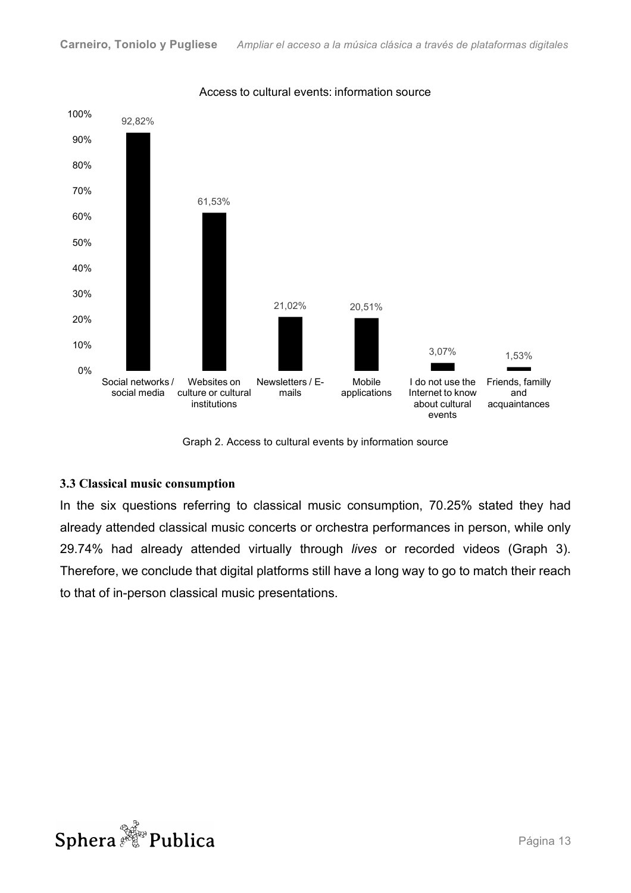

Access to cultural events: information source

Graph 2. Access to cultural events by information source

#### **3.3 Classical music consumption**

In the six questions referring to classical music consumption, 70.25% stated they had already attended classical music concerts or orchestra performances in person, while only 29.74% had already attended virtually through *lives* or recorded videos (Graph 3). Therefore, we conclude that digital platforms still have a long way to go to match their reach to that of in-person classical music presentations.

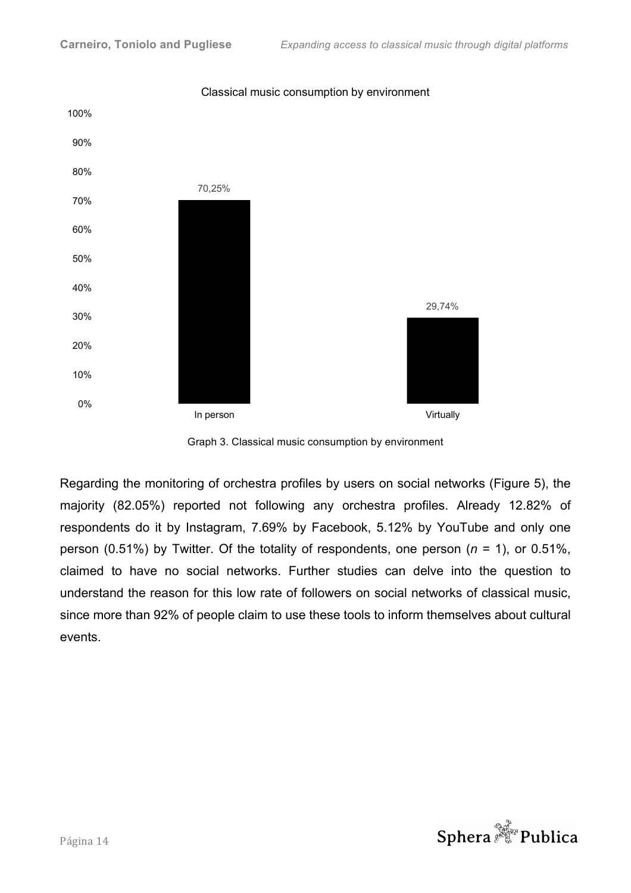

Classical music consumption by environment

Graph 3. Classical music consumption by environment

Regarding the monitoring of orchestra profiles by users on social networks (Figure 5), the majority (82.05%) reported not following any orchestra profiles. Already 12.82% of respondents do it by Instagram, 7.69% by Facebook, 5.12% by YouTube and only one person (0.51%) by Twitter. Of the totality of respondents, one person (*n* = 1), or 0.51%, claimed to have no social networks. Further studies can delve into the question to understand the reason for this low rate of followers on social networks of classical music, since more than 92% of people claim to use these tools to inform themselves about cultural events.

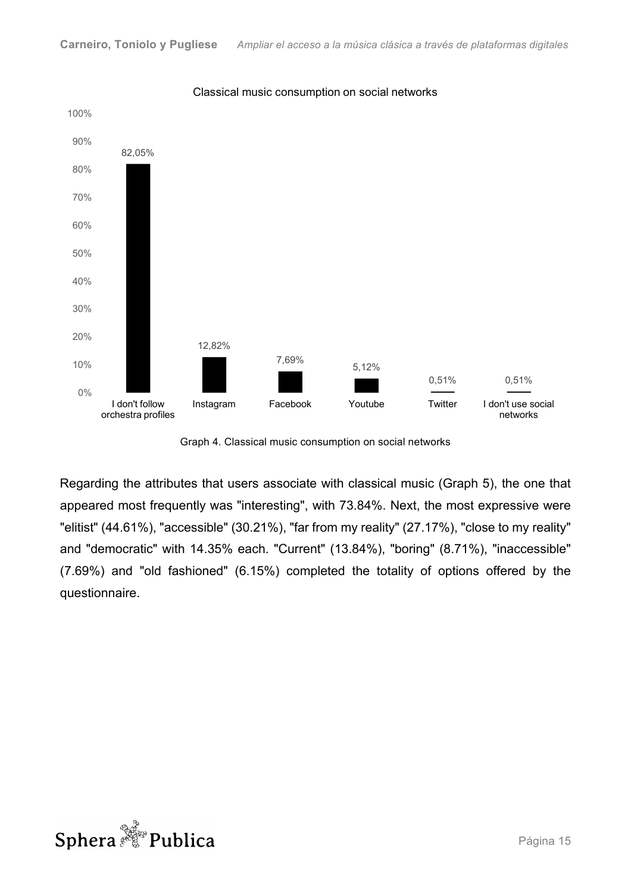

Classical music consumption on social networks

Graph 4. Classical music consumption on social networks

Regarding the attributes that users associate with classical music (Graph 5), the one that appeared most frequently was "interesting", with 73.84%. Next, the most expressive were "elitist" (44.61%), "accessible" (30.21%), "far from my reality" (27.17%), "close to my reality" and "democratic" with 14.35% each. "Current" (13.84%), "boring" (8.71%), "inaccessible" (7.69%) and "old fashioned" (6.15%) completed the totality of options offered by the questionnaire.

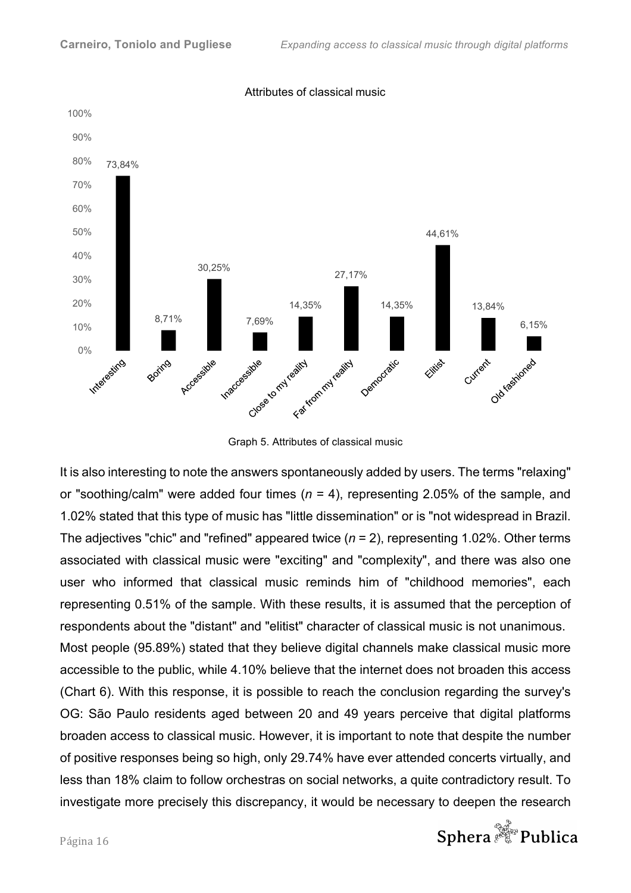

#### Attributes of classical music

Graph 5. Attributes of classical music

It is also interesting to note the answers spontaneously added by users. The terms "relaxing" or "soothing/calm" were added four times (*n* = 4), representing 2.05% of the sample, and 1.02% stated that this type of music has "little dissemination" or is "not widespread in Brazil. The adjectives "chic" and "refined" appeared twice (*n* = 2), representing 1.02%. Other terms associated with classical music were "exciting" and "complexity", and there was also one user who informed that classical music reminds him of "childhood memories", each representing 0.51% of the sample. With these results, it is assumed that the perception of respondents about the "distant" and "elitist" character of classical music is not unanimous. Most people (95.89%) stated that they believe digital channels make classical music more accessible to the public, while 4.10% believe that the internet does not broaden this access (Chart 6). With this response, it is possible to reach the conclusion regarding the survey's OG: São Paulo residents aged between 20 and 49 years perceive that digital platforms broaden access to classical music. However, it is important to note that despite the number of positive responses being so high, only 29.74% have ever attended concerts virtually, and less than 18% claim to follow orchestras on social networks, a quite contradictory result. To investigate more precisely this discrepancy, it would be necessary to deepen the research

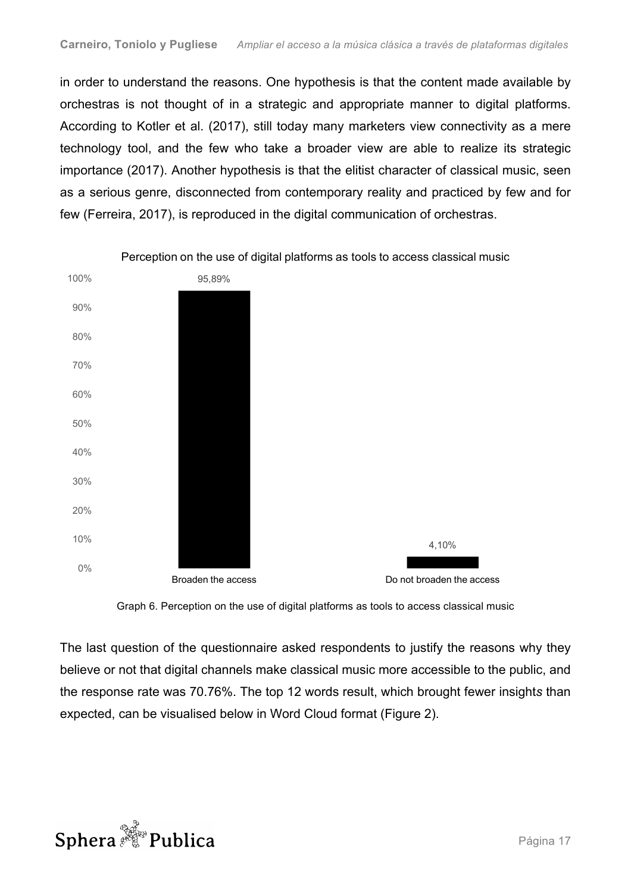in order to understand the reasons. One hypothesis is that the content made available by orchestras is not thought of in a strategic and appropriate manner to digital platforms. According to Kotler et al. (2017), still today many marketers view connectivity as a mere technology tool, and the few who take a broader view are able to realize its strategic importance (2017). Another hypothesis is that the elitist character of classical music, seen as a serious genre, disconnected from contemporary reality and practiced by few and for few (Ferreira, 2017), is reproduced in the digital communication of orchestras.



Graph 6. Perception on the use of digital platforms as tools to access classical music

The last question of the questionnaire asked respondents to justify the reasons why they believe or not that digital channels make classical music more accessible to the public, and the response rate was 70.76%. The top 12 words result, which brought fewer insight*s* than expected, can be visualised below in Word Cloud format (Figure 2).

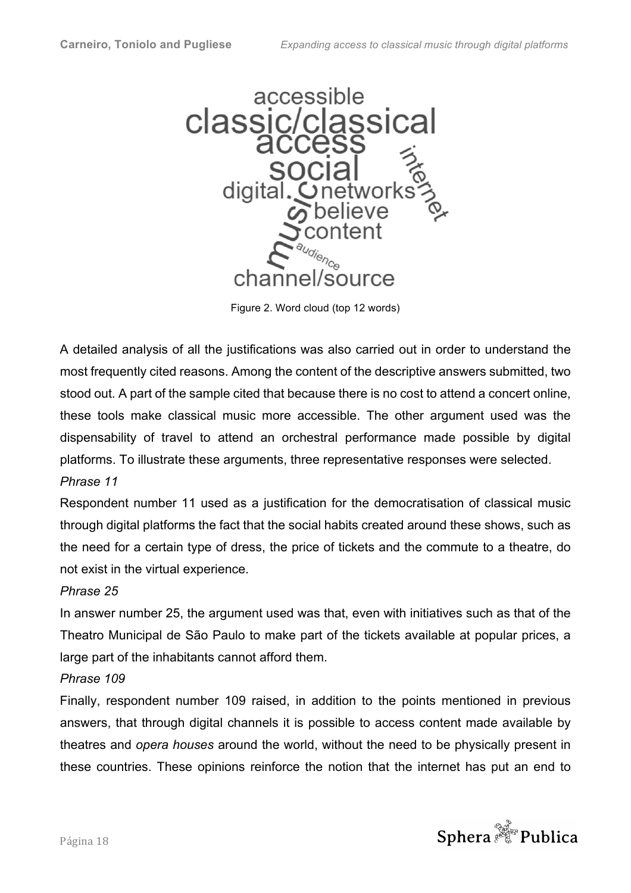

Figure 2. Word cloud (top 12 words)

A detailed analysis of all the justifications was also carried out in order to understand the most frequently cited reasons. Among the content of the descriptive answers submitted, two stood out. A part of the sample cited that because there is no cost to attend a concert online, these tools make classical music more accessible. The other argument used was the dispensability of travel to attend an orchestral performance made possible by digital platforms. To illustrate these arguments, three representative responses were selected.

# *Phrase 11*

Respondent number 11 used as a justification for the democratisation of classical music through digital platforms the fact that the social habits created around these shows, such as the need for a certain type of dress, the price of tickets and the commute to a theatre, do not exist in the virtual experience.

## *Phrase 25*

In answer number 25, the argument used was that, even with initiatives such as that of the Theatro Municipal de São Paulo to make part of the tickets available at popular prices, a large part of the inhabitants cannot afford them.

## *Phrase 109*

Finally, respondent number 109 raised, in addition to the points mentioned in previous answers, that through digital channels it is possible to access content made available by theatres and *opera houses* around the world, without the need to be physically present in these countries. These opinions reinforce the notion that the internet has put an end to

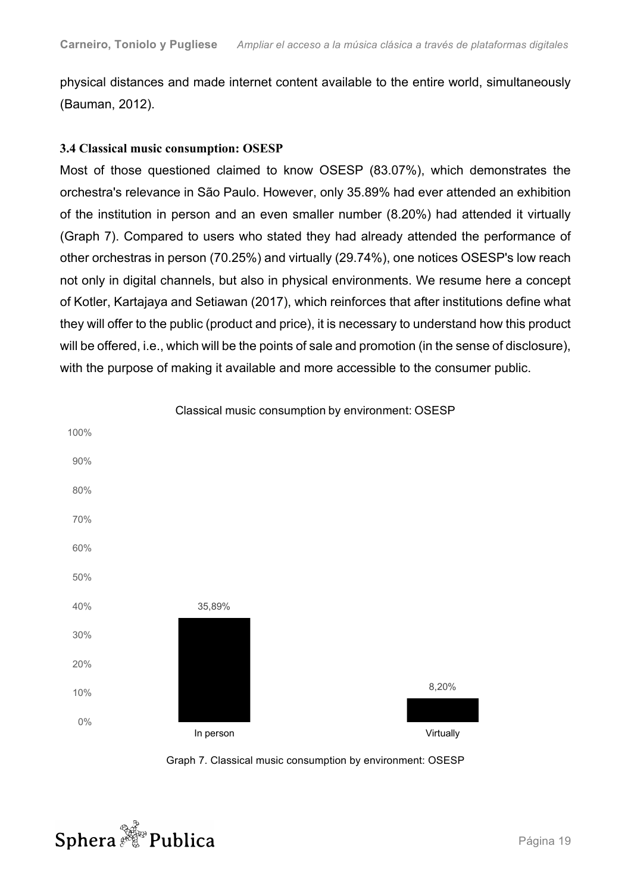physical distances and made internet content available to the entire world, simultaneously (Bauman, 2012).

### **3.4 Classical music consumption: OSESP**

Most of those questioned claimed to know OSESP (83.07%), which demonstrates the orchestra's relevance in São Paulo. However, only 35.89% had ever attended an exhibition of the institution in person and an even smaller number (8.20%) had attended it virtually (Graph 7). Compared to users who stated they had already attended the performance of other orchestras in person (70.25%) and virtually (29.74%), one notices OSESP's low reach not only in digital channels, but also in physical environments. We resume here a concept of Kotler, Kartajaya and Setiawan (2017), which reinforces that after institutions define what they will offer to the public (product and price), it is necessary to understand how this product will be offered, i.e., which will be the points of sale and promotion (in the sense of disclosure), with the purpose of making it available and more accessible to the consumer public.



Graph 7. Classical music consumption by environment: OSESP

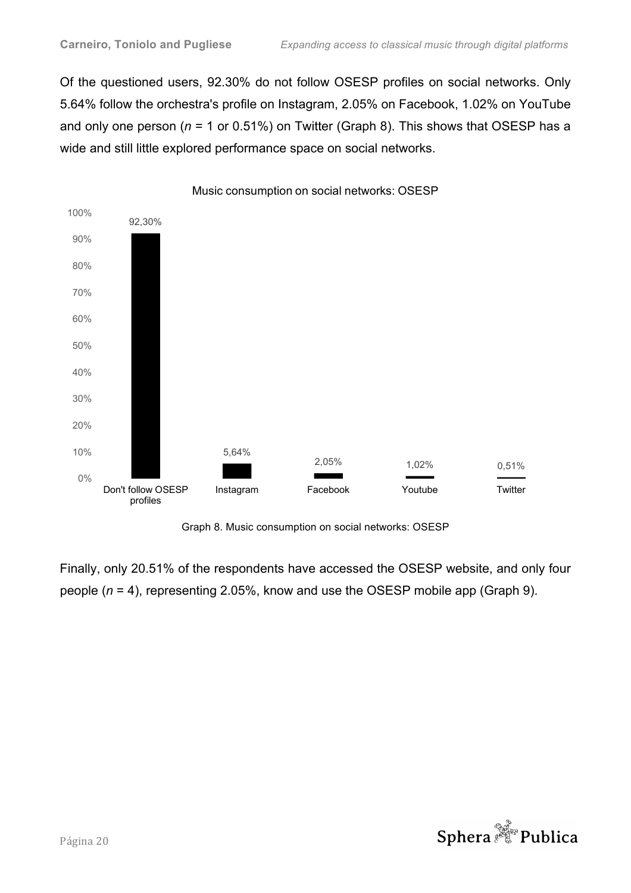Of the questioned users, 92.30% do not follow OSESP profiles on social networks. Only 5.64% follow the orchestra's profile on Instagram, 2.05% on Facebook, 1.02% on YouTube and only one person (*n* = 1 or 0.51%) on Twitter (Graph 8). This shows that OSESP has a wide and still little explored performance space on social networks.



Music consumption on social networks: OSESP

Graph 8. Music consumption on social networks: OSESP

Finally, only 20.51% of the respondents have accessed the OSESP website, and only four people (*n* = 4), representing 2.05%, know and use the OSESP mobile app (Graph 9).

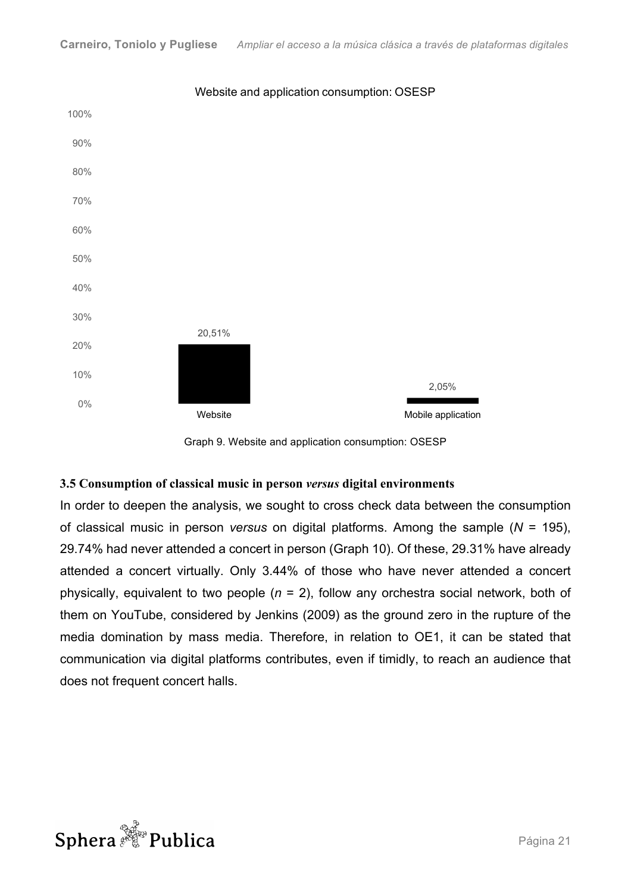

#### Website and application consumption: OSESP

Graph 9. Website and application consumption: OSESP

#### **3.5 Consumption of classical music in person** *versus* **digital environments**

In order to deepen the analysis, we sought to cross check data between the consumption of classical music in person *versus* on digital platforms. Among the sample (*N* = 195), 29.74% had never attended a concert in person (Graph 10). Of these, 29.31% have already attended a concert virtually. Only 3.44% of those who have never attended a concert physically, equivalent to two people (*n* = 2), follow any orchestra social network, both of them on YouTube, considered by Jenkins (2009) as the ground zero in the rupture of the media domination by mass media. Therefore, in relation to OE1, it can be stated that communication via digital platforms contributes, even if timidly, to reach an audience that does not frequent concert halls.

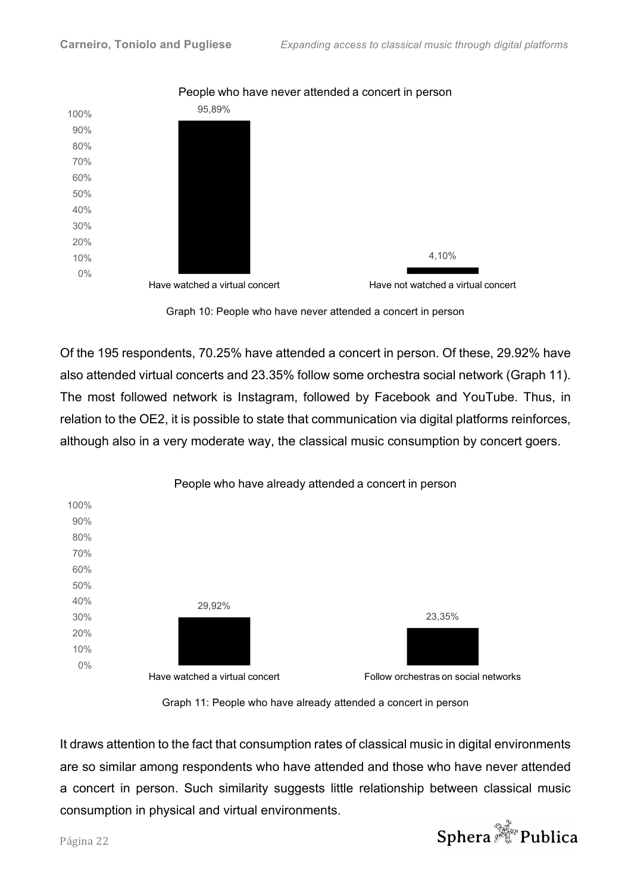

People who have never attended a concert in person



Of the 195 respondents, 70.25% have attended a concert in person. Of these, 29.92% have also attended virtual concerts and 23.35% follow some orchestra social network (Graph 11). The most followed network is Instagram, followed by Facebook and YouTube. Thus, in relation to the OE2, it is possible to state that communication via digital platforms reinforces, although also in a very moderate way, the classical music consumption by concert goers.



#### Graph 11: People who have already attended a concert in person

It draws attention to the fact that consumption rates of classical music in digital environments are so similar among respondents who have attended and those who have never attended a concert in person. Such similarity suggests little relationship between classical music consumption in physical and virtual environments.

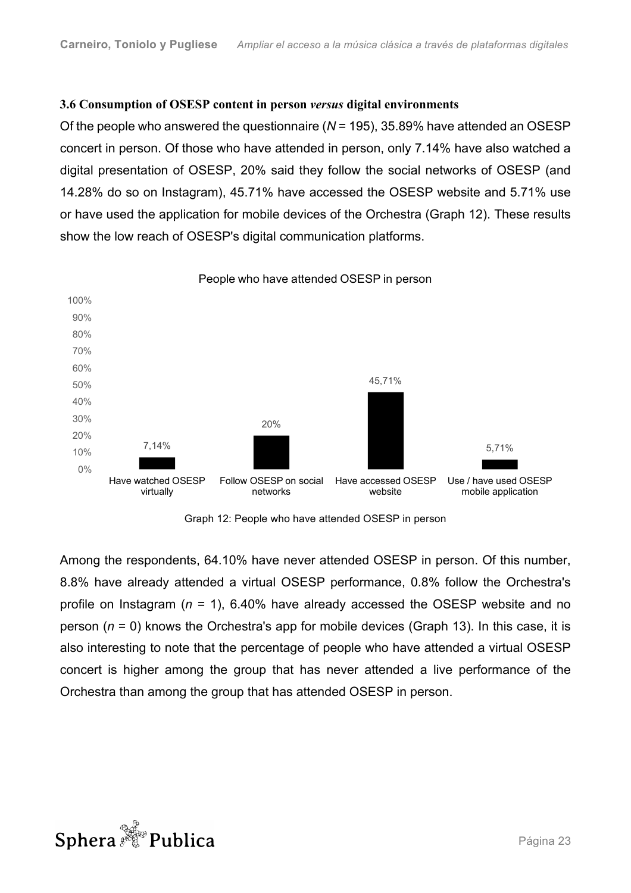### **3.6 Consumption of OSESP content in person** *versus* **digital environments**

Of the people who answered the questionnaire (*N* = 195), 35.89% have attended an OSESP concert in person. Of those who have attended in person, only 7.14% have also watched a digital presentation of OSESP, 20% said they follow the social networks of OSESP (and 14.28% do so on Instagram), 45.71% have accessed the OSESP website and 5.71% use or have used the application for mobile devices of the Orchestra (Graph 12). These results show the low reach of OSESP's digital communication platforms.



People who have attended OSESP in person

Graph 12: People who have attended OSESP in person

Among the respondents, 64.10% have never attended OSESP in person. Of this number, 8.8% have already attended a virtual OSESP performance, 0.8% follow the Orchestra's profile on Instagram (*n* = 1), 6.40% have already accessed the OSESP website and no person (*n* = 0) knows the Orchestra's app for mobile devices (Graph 13). In this case, it is also interesting to note that the percentage of people who have attended a virtual OSESP concert is higher among the group that has never attended a live performance of the Orchestra than among the group that has attended OSESP in person.

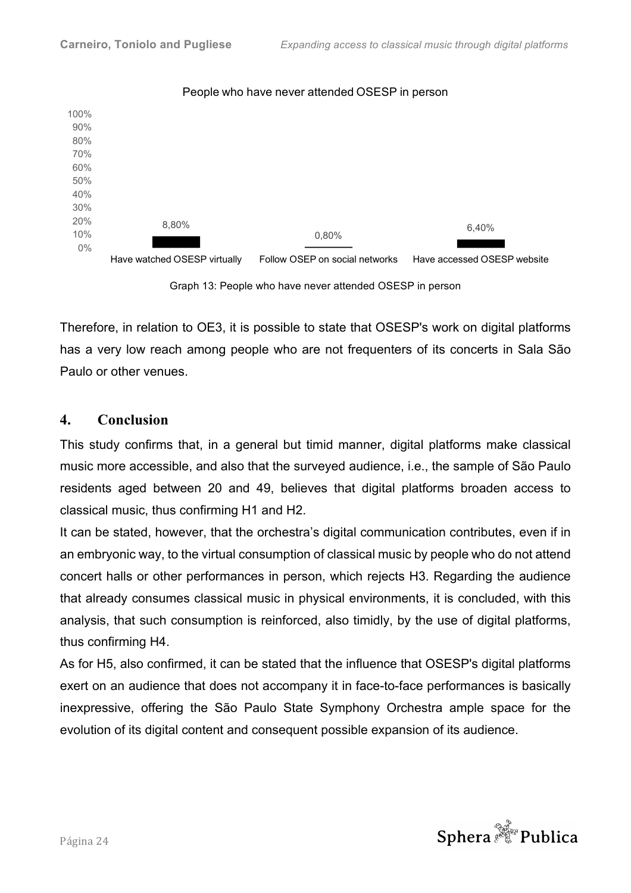

#### People who have never attended OSESP in person



Therefore, in relation to OE3, it is possible to state that OSESP's work on digital platforms has a very low reach among people who are not frequenters of its concerts in Sala São Paulo or other venues.

# **4. Conclusion**

This study confirms that, in a general but timid manner, digital platforms make classical music more accessible, and also that the surveyed audience, i.e., the sample of São Paulo residents aged between 20 and 49, believes that digital platforms broaden access to classical music, thus confirming H1 and H2.

It can be stated, however, that the orchestra's digital communication contributes, even if in an embryonic way, to the virtual consumption of classical music by people who do not attend concert halls or other performances in person, which rejects H3. Regarding the audience that already consumes classical music in physical environments, it is concluded, with this analysis, that such consumption is reinforced, also timidly, by the use of digital platforms, thus confirming H4.

As for H5, also confirmed, it can be stated that the influence that OSESP's digital platforms exert on an audience that does not accompany it in face-to-face performances is basically inexpressive, offering the São Paulo State Symphony Orchestra ample space for the evolution of its digital content and consequent possible expansion of its audience.